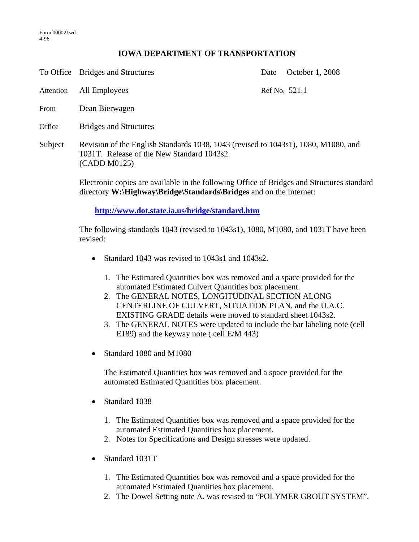## **IOWA DEPARTMENT OF TRANSPORTATION**

To Office Bridges and Structures Date October 1, 2008

Attention All Employees Ref No. 521.1

- From Dean Bierwagen
- Office Bridges and Structures
- Subject Revision of the English Standards 1038, 1043 (revised to 1043s1), 1080, M1080, and 1031T. Release of the New Standard 1043s2. (CADD M0125)

Electronic copies are available in the following Office of Bridges and Structures standard directory **W:\Highway\Bridge\Standards\Bridges** and on the Internet:

**http://www.dot.state.ia.us/bridge/standard.htm**

The following standards 1043 (revised to 1043s1), 1080, M1080, and 1031T have been revised:

- Standard 1043 was revised to 1043s1 and 1043s2.
	- 1. The Estimated Quantities box was removed and a space provided for the automated Estimated Culvert Quantities box placement.
	- 2. The GENERAL NOTES, LONGITUDINAL SECTION ALONG CENTERLINE OF CULVERT, SITUATION PLAN, and the U.A.C. EXISTING GRADE details were moved to standard sheet 1043s2.
	- 3. The GENERAL NOTES were updated to include the bar labeling note (cell E189) and the keyway note ( cell E/M 443)
- Standard 1080 and M1080

The Estimated Quantities box was removed and a space provided for the automated Estimated Quantities box placement.

- Standard 1038
	- 1. The Estimated Quantities box was removed and a space provided for the automated Estimated Quantities box placement.
	- 2. Notes for Specifications and Design stresses were updated.
- Standard 1031T
	- 1. The Estimated Quantities box was removed and a space provided for the automated Estimated Quantities box placement.
	- 2. The Dowel Setting note A. was revised to "POLYMER GROUT SYSTEM".